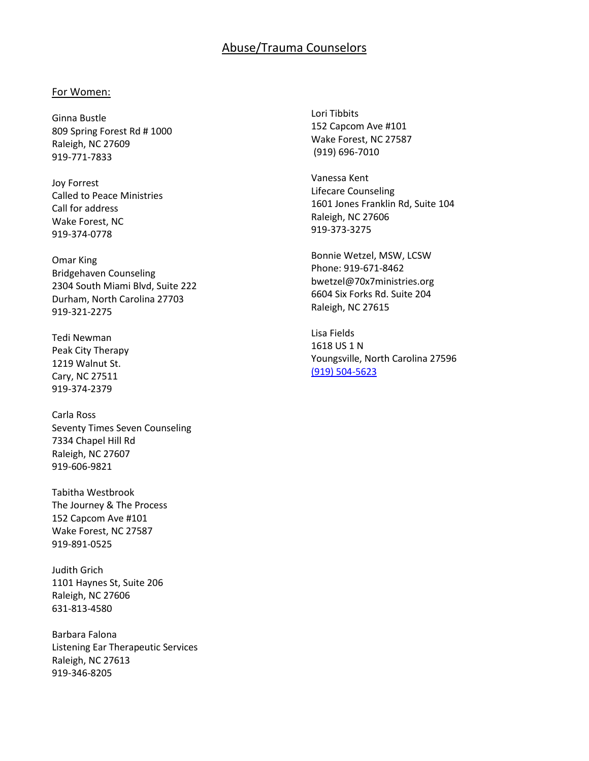# Abuse/Trauma Counselors

## For Women:

Ginna Bustle 809 Spring Forest Rd # 1000 Raleigh, NC 27609 919-771-7833

Joy Forrest Called to Peace Ministries Call for address Wake Forest, NC 919-374-0778

Omar King Bridgehaven Counseling [2304 South Miami Blvd, Suite 222](https://www.google.com/maps/dir/) Durham, North Carolina 27703 919-321-2275

Tedi Newman Peak City Therapy 1219 Walnut St. Cary, NC 27511 919-374-2379

Carla Ross Seventy Times Seven Counseling 7334 Chapel Hill Rd Raleigh, NC 27607 919-606-9821

Tabitha Westbrook The Journey & The Process 152 Capcom Ave #101 Wake Forest, NC 27587 919-891-0525

Judith Grich 1101 Haynes St, Suite 206 Raleigh, NC 27606 631-813-4580

Barbara Falona Listening Ear Therapeutic Services Raleigh, NC 27613 919-346-8205

Lori Tibbits 152 Capcom Ave #101 Wake Forest, NC 27587 (919) 696-7010

Vanessa Kent Lifecare Counseling 1601 Jones Franklin Rd, Suite 104 Raleigh, NC 27606 919-373-3275

Bonnie Wetzel, MSW, LCSW Phone: 919-671-8462 bwetzel@70x7ministries.org 6604 Six Forks Rd. Suite 204 Raleigh, NC 27615

Lisa Fields 1618 US 1 N Youngsville, North Carolina 27596 [\(919\) 504-5623](tel:+1-919-504-5623)